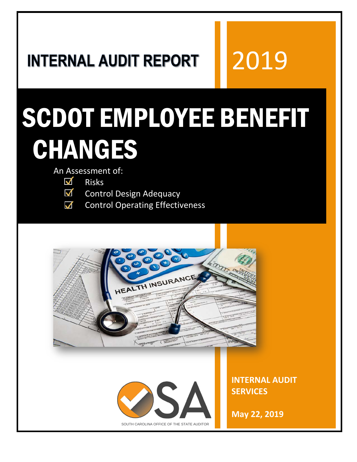### **INTERNAL AUDIT REPORT**

# 2019

# SCDOT EMPLOYEE BENEFIT CHANGES

An Assessment of:

|  | <b>PISK</b> | ヘ |
|--|-------------|---|
|  |             |   |

- $\checkmark$ Control Design Adequacy
- $\checkmark$ Control Operating Effectiveness





**INTERNAL AUDIT SERVICES**

**May 22, 2019**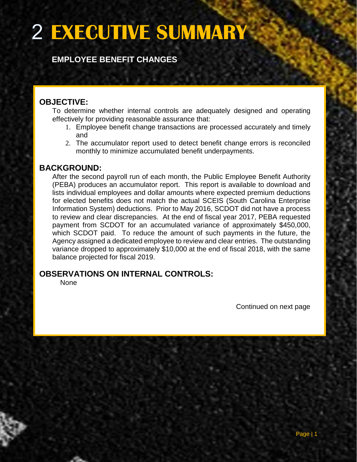## **EXECUTIVE SUMMARY**

 **EMPLOYEE BENEFIT CHANGES**

#### **OBJECTIVE:**

To determine whether internal controls are adequately designed and operating effectively for providing reasonable assurance that:

- 1. Employee benefit change transactions are processed accurately and timely and
- 2. The accumulator report used to detect benefit change errors is reconciled monthly to minimize accumulated benefit underpayments.

#### **BACKGROUND:**

After the second payroll run of each month, the Public Employee Benefit Authority (PEBA) produces an accumulator report. This report is available to download and lists individual employees and dollar amounts where expected premium deductions for elected benefits does not match the actual SCEIS (South Carolina Enterprise Information System) deductions. Prior to May 2016, SCDOT did not have a process to review and clear discrepancies. At the end of fiscal year 2017, PEBA requested payment from SCDOT for an accumulated variance of approximately \$450,000, which SCDOT paid. To reduce the amount of such payments in the future, the Agency assigned a dedicated employee to review and clear entries. The outstanding variance dropped to approximately \$10,000 at the end of fiscal 2018, with the same balance projected for fiscal 2019.

#### **OBSERVATIONS ON INTERNAL CONTROLS:**

None

Continued on next page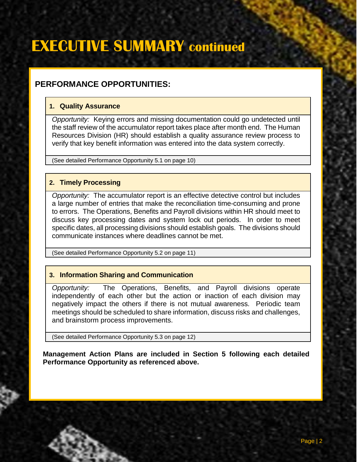### **EXECUTIVE SUMMARY continued**

#### **PERFORMANCE OPPORTUNITIES:**

#### **1. Quality Assurance**

*Opportunity:* Keying errors and missing documentation could go undetected until the staff review of the accumulator report takes place after month end. The Human Resources Division (HR) should establish a quality assurance review process to verify that key benefit information was entered into the data system correctly.

(See detailed Performance Opportunity 5.1 on page 10)

#### **2. Timely Processing**

*Opportunity:* The accumulator report is an effective detective control but includes a large number of entries that make the reconciliation time-consuming and prone to errors. The Operations, Benefits and Payroll divisions within HR should meet to discuss key processing dates and system lock out periods. In order to meet specific dates, all processing divisions should establish goals. The divisions should communicate instances where deadlines cannot be met.

(See detailed Performance Opportunity 5.2 on page 11)

#### **3. Information Sharing and Communication**

*Opportunity:* The Operations, Benefits, and Payroll divisions operate independently of each other but the action or inaction of each division may negatively impact the others if there is not mutual awareness. Periodic team meetings should be scheduled to share information, discuss risks and challenges, and brainstorm process improvements.

(See detailed Performance Opportunity 5.3 on page 12)

**Management Action Plans are included in Section 5 following each detailed Performance Opportunity as referenced above.**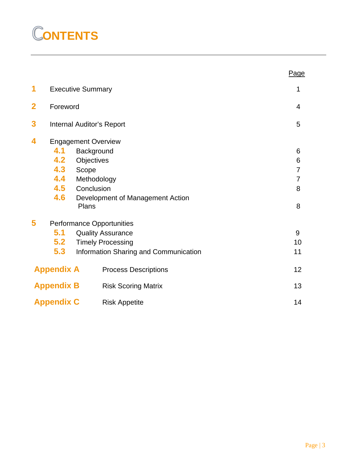### **ONTENTS**

|                |                                  |                                       | Page           |
|----------------|----------------------------------|---------------------------------------|----------------|
| 1              |                                  | <b>Executive Summary</b>              | 1              |
| $\overline{2}$ | Foreword                         |                                       | $\overline{4}$ |
| 3              | <b>Internal Auditor's Report</b> |                                       | 5              |
| 4              |                                  | <b>Engagement Overview</b>            |                |
|                | 4.1                              | Background                            | 6              |
|                | 4.2                              | Objectives                            | 6              |
|                | 4.3                              | Scope                                 | $\overline{7}$ |
|                | 4.4                              | Methodology                           | $\overline{7}$ |
|                | 4.5                              | Conclusion                            | 8              |
|                | 4.6                              | Development of Management Action      |                |
|                |                                  | Plans                                 | 8              |
| 5              |                                  | <b>Performance Opportunities</b>      |                |
|                | 5.1                              | <b>Quality Assurance</b>              | 9              |
|                | 5.2                              | <b>Timely Processing</b>              | 10             |
|                | 5.3                              | Information Sharing and Communication | 11             |
|                | <b>Appendix A</b>                | <b>Process Descriptions</b>           | 12             |
|                | <b>Appendix B</b>                | <b>Risk Scoring Matrix</b>            | 13             |
|                | <b>Appendix C</b>                | <b>Risk Appetite</b>                  | 14             |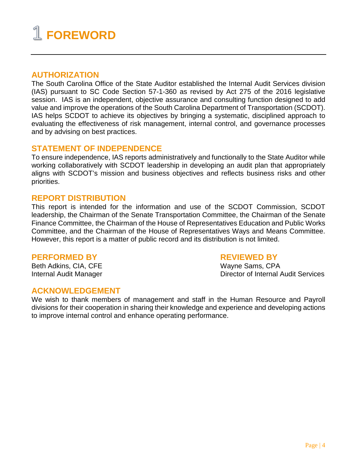### **FOREWORD**

#### **AUTHORIZATION**

The South Carolina Office of the State Auditor established the Internal Audit Services division (IAS) pursuant to SC Code Section 57-1-360 as revised by Act 275 of the 2016 legislative session. IAS is an independent, objective assurance and consulting function designed to add value and improve the operations of the South Carolina Department of Transportation (SCDOT). IAS helps SCDOT to achieve its objectives by bringing a systematic, disciplined approach to evaluating the effectiveness of risk management, internal control, and governance processes and by advising on best practices.

#### **STATEMENT OF INDEPENDENCE**

To ensure independence, IAS reports administratively and functionally to the State Auditor while working collaboratively with SCDOT leadership in developing an audit plan that appropriately aligns with SCDOT's mission and business objectives and reflects business risks and other priorities.

#### **REPORT DISTRIBUTION**

This report is intended for the information and use of the SCDOT Commission, SCDOT leadership, the Chairman of the Senate Transportation Committee, the Chairman of the Senate Finance Committee, the Chairman of the House of Representatives Education and Public Works Committee, and the Chairman of the House of Representatives Ways and Means Committee. However, this report is a matter of public record and its distribution is not limited.

#### **PERFORMED BY REVIEWED BY**

Beth Adkins, CIA, CFE Wayne Sams, CPA

Internal Audit Manager **Director of Internal Audit Services** 

#### **ACKNOWLEDGEMENT**

We wish to thank members of management and staff in the Human Resource and Payroll divisions for their cooperation in sharing their knowledge and experience and developing actions to improve internal control and enhance operating performance.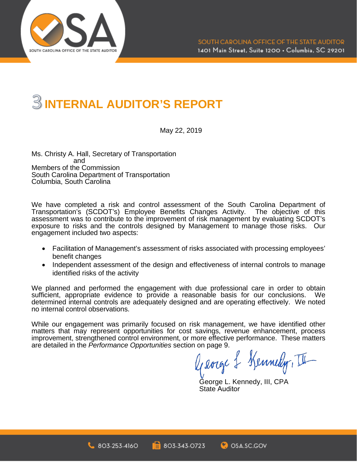



May 22, 2019

Ms. Christy A. Hall, Secretary of Transportation and Members of the Commission South Carolina Department of Transportation Columbia, South Carolina

We have completed a risk and control assessment of the South Carolina Department of Transportation's (SCDOT's) Employee Benefits Changes Activity. The objective of this assessment was to contribute to the improvement of risk management by evaluating SCDOT's exposure to risks and the controls designed by Management to manage those risks. Our engagement included two aspects:

- Facilitation of Management's assessment of risks associated with processing employees' benefit changes
- Independent assessment of the design and effectiveness of internal controls to manage identified risks of the activity

We planned and performed the engagement with due professional care in order to obtain sufficient, appropriate evidence to provide a reasonable basis for our conclusions. We determined internal controls are adequately designed and are operating effectively. We noted no internal control observations.

While our engagement was primarily focused on risk management, we have identified other matters that may represent opportunities for cost savings, revenue enhancement, process improvement, strengthened control environment, or more effective performance. These matters are detailed in the *Performance Opportunities* section on page 9.

George & Kennedy, II

George L. Kennedy, III, CPA State Auditor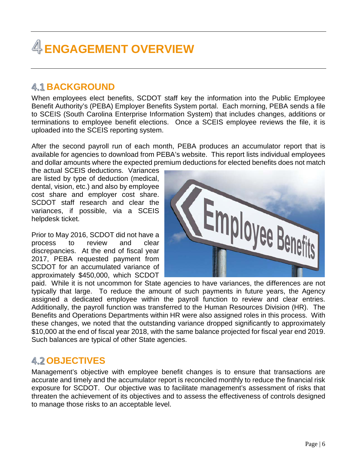### **ENGAGEMENT OVERVIEW**

#### **A.1 BACKGROUND**

When employees elect benefits, SCDOT staff key the information into the Public Employee Benefit Authority's (PEBA) Employer Benefits System portal. Each morning, PEBA sends a file to SCEIS (South Carolina Enterprise Information System) that includes changes, additions or terminations to employee benefit elections. Once a SCEIS employee reviews the file, it is uploaded into the SCEIS reporting system.

After the second payroll run of each month, PEBA produces an accumulator report that is available for agencies to download from PEBA's website. This report lists individual employees and dollar amounts where the expected premium deductions for elected benefits does not match

the actual SCEIS deductions. Variances are listed by type of deduction (medical, dental, vision, etc.) and also by employee cost share and employer cost share. SCDOT staff research and clear the variances, if possible, via a SCEIS helpdesk ticket.

Prior to May 2016, SCDOT did not have a process to review and clear discrepancies. At the end of fiscal year 2017, PEBA requested payment from SCDOT for an accumulated variance of approximately \$450,000, which SCDOT



paid. While it is not uncommon for State agencies to have variances, the differences are not typically that large. To reduce the amount of such payments in future years, the Agency assigned a dedicated employee within the payroll function to review and clear entries. Additionally, the payroll function was transferred to the Human Resources Division (HR). The Benefits and Operations Departments within HR were also assigned roles in this process. With these changes, we noted that the outstanding variance dropped significantly to approximately \$10,000 at the end of fiscal year 2018, with the same balance projected for fiscal year end 2019. Such balances are typical of other State agencies.

#### **OBJECTIVES**

Management's objective with employee benefit changes is to ensure that transactions are accurate and timely and the accumulator report is reconciled monthly to reduce the financial risk exposure for SCDOT. Our objective was to facilitate management's assessment of risks that threaten the achievement of its objectives and to assess the effectiveness of controls designed to manage those risks to an acceptable level.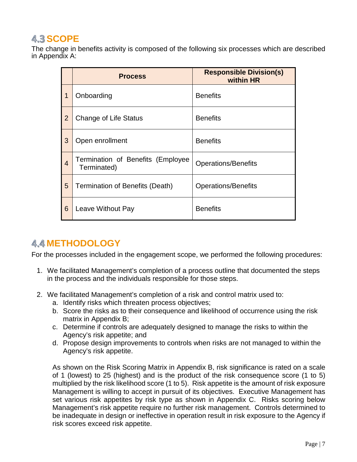#### **4.3 SCOPE**

The change in benefits activity is composed of the following six processes which are described in Appendix A:

|                | <b>Process</b>                                   | <b>Responsible Division(s)</b><br>within HR |  |
|----------------|--------------------------------------------------|---------------------------------------------|--|
| 1              | Onboarding                                       | <b>Benefits</b>                             |  |
| $\overline{2}$ | <b>Change of Life Status</b>                     | <b>Benefits</b>                             |  |
| 3              | Open enrollment                                  | <b>Benefits</b>                             |  |
| $\overline{4}$ | Termination of Benefits (Employee<br>Terminated) | <b>Operations/Benefits</b>                  |  |
| 5              | Termination of Benefits (Death)                  | <b>Operations/Benefits</b>                  |  |
| 6              | Leave Without Pay                                | <b>Benefits</b>                             |  |

#### **METHODOLOGY**

For the processes included in the engagement scope, we performed the following procedures:

- 1. We facilitated Management's completion of a process outline that documented the steps in the process and the individuals responsible for those steps.
- 2. We facilitated Management's completion of a risk and control matrix used to:
	- a. Identify risks which threaten process objectives;
	- b. Score the risks as to their consequence and likelihood of occurrence using the risk matrix in Appendix B;
	- c. Determine if controls are adequately designed to manage the risks to within the Agency's risk appetite; and
	- d. Propose design improvements to controls when risks are not managed to within the Agency's risk appetite.

As shown on the Risk Scoring Matrix in Appendix B, risk significance is rated on a scale of 1 (lowest) to 25 (highest) and is the product of the risk consequence score (1 to 5) multiplied by the risk likelihood score (1 to 5). Risk appetite is the amount of risk exposure Management is willing to accept in pursuit of its objectives. Executive Management has set various risk appetites by risk type as shown in Appendix C. Risks scoring below Management's risk appetite require no further risk management. Controls determined to be inadequate in design or ineffective in operation result in risk exposure to the Agency if risk scores exceed risk appetite.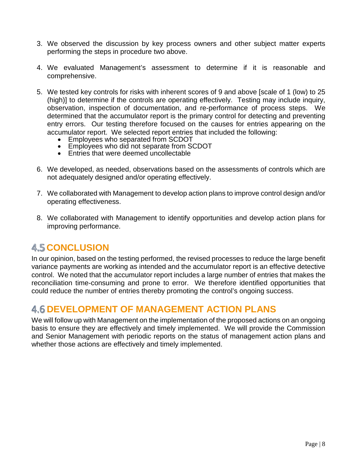- 3. We observed the discussion by key process owners and other subject matter experts performing the steps in procedure two above.
- 4. We evaluated Management's assessment to determine if it is reasonable and comprehensive.
- 5. We tested key controls for risks with inherent scores of 9 and above [scale of 1 (low) to 25 (high)] to determine if the controls are operating effectively. Testing may include inquiry, observation, inspection of documentation, and re-performance of process steps. We determined that the accumulator report is the primary control for detecting and preventing entry errors. Our testing therefore focused on the causes for entries appearing on the accumulator report. We selected report entries that included the following:
	- Employees who separated from SCDOT
	- Employees who did not separate from SCDOT
	- Entries that were deemed uncollectable
- 6. We developed, as needed, observations based on the assessments of controls which are not adequately designed and/or operating effectively.
- 7. We collaborated with Management to develop action plans to improve control design and/or operating effectiveness.
- 8. We collaborated with Management to identify opportunities and develop action plans for improving performance.

#### **4.5 CONCLUSION**

In our opinion, based on the testing performed, the revised processes to reduce the large benefit variance payments are working as intended and the accumulator report is an effective detective control. We noted that the accumulator report includes a large number of entries that makes the reconciliation time-consuming and prone to error. We therefore identified opportunities that could reduce the number of entries thereby promoting the control's ongoing success.

#### **DEVELOPMENT OF MANAGEMENT ACTION PLANS**

We will follow up with Management on the implementation of the proposed actions on an ongoing basis to ensure they are effectively and timely implemented. We will provide the Commission and Senior Management with periodic reports on the status of management action plans and whether those actions are effectively and timely implemented.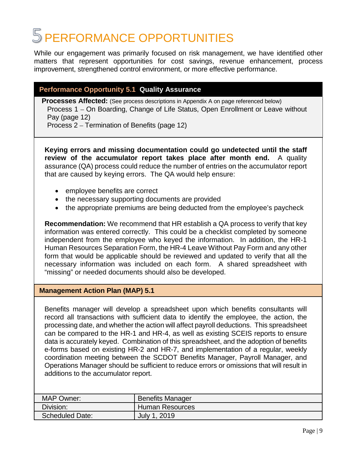### **5 PERFORMANCE OPPORTUNITIES**

While our engagement was primarily focused on risk management, we have identified other matters that represent opportunities for cost savings, revenue enhancement, process improvement, strengthened control environment, or more effective performance.

#### **Performance Opportunity 5.1 Quality Assurance**

**Processes Affected:** (See process descriptions in Appendix A on page referenced below) Process 1 – On Boarding, Change of Life Status, Open Enrollment or Leave without Pay (page 12)

Process 2 – Termination of Benefits (page 12)

**Keying errors and missing documentation could go undetected until the staff review of the accumulator report takes place after month end.** A quality assurance (QA) process could reduce the number of entries on the accumulator report that are caused by keying errors. The QA would help ensure:

- employee benefits are correct
- the necessary supporting documents are provided
- the appropriate premiums are being deducted from the employee's paycheck

**Recommendation:** We recommend that HR establish a QA process to verify that key information was entered correctly. This could be a checklist completed by someone independent from the employee who keyed the information. In addition, the HR-1 Human Resources Separation Form, the HR-4 Leave Without Pay Form and any other form that would be applicable should be reviewed and updated to verify that all the necessary information was included on each form. A shared spreadsheet with "missing" or needed documents should also be developed.

#### **Management Action Plan (MAP) 5.1**

Benefits manager will develop a spreadsheet upon which benefits consultants will record all transactions with sufficient data to identify the employee, the action, the processing date, and whether the action will affect payroll deductions. This spreadsheet can be compared to the HR-1 and HR-4, as well as existing SCEIS reports to ensure data is accurately keyed. Combination of this spreadsheet, and the adoption of benefits e-forms based on existing HR-2 and HR-7, and implementation of a regular, weekly coordination meeting between the SCDOT Benefits Manager, Payroll Manager, and Operations Manager should be sufficient to reduce errors or omissions that will result in additions to the accumulator report.

| <b>MAP Owner:</b>      | <b>Benefits Manager</b> |
|------------------------|-------------------------|
| Division:              | Human Resources         |
| <b>Scheduled Date:</b> | July 1, 2019            |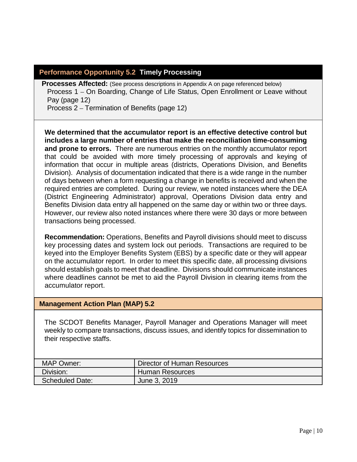#### **Performance Opportunity 5.2 Timely Processing**

**Processes Affected:** (See process descriptions in Appendix A on page referenced below) Process 1 – On Boarding, Change of Life Status, Open Enrollment or Leave without Pay (page 12)

Process 2 – Termination of Benefits (page 12)

**We determined that the accumulator report is an effective detective control but includes a large number of entries that make the reconciliation time-consuming and prone to errors.** There are numerous entries on the monthly accumulator report that could be avoided with more timely processing of approvals and keying of information that occur in multiple areas (districts, Operations Division, and Benefits Division). Analysis of documentation indicated that there is a wide range in the number of days between when a form requesting a change in benefits is received and when the required entries are completed. During our review, we noted instances where the DEA (District Engineering Administrator) approval, Operations Division data entry and Benefits Division data entry all happened on the same day or within two or three days. However, our review also noted instances where there were 30 days or more between transactions being processed.

**Recommendation:** Operations, Benefits and Payroll divisions should meet to discuss key processing dates and system lock out periods. Transactions are required to be keyed into the Employer Benefits System (EBS) by a specific date or they will appear on the accumulator report. In order to meet this specific date, all processing divisions should establish goals to meet that deadline. Divisions should communicate instances where deadlines cannot be met to aid the Payroll Division in clearing items from the accumulator report.

#### **Management Action Plan (MAP) 5.2**

The SCDOT Benefits Manager, Payroll Manager and Operations Manager will meet weekly to compare transactions, discuss issues, and identify topics for dissemination to their respective staffs.

| <b>MAP Owner:</b>      | Director of Human Resources |
|------------------------|-----------------------------|
| Division:              | Human Resources             |
| <b>Scheduled Date:</b> | June 3, 2019                |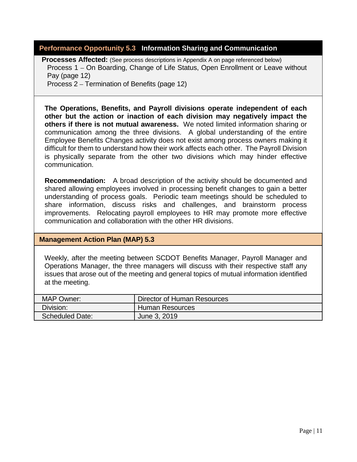#### **Performance Opportunity 5.3 Information Sharing and Communication**

**Processes Affected:** (See process descriptions in Appendix A on page referenced below) Process 1 – On Boarding, Change of Life Status, Open Enrollment or Leave without Pay (page 12)

Process 2 – Termination of Benefits (page 12)

**The Operations, Benefits, and Payroll divisions operate independent of each other but the action or inaction of each division may negatively impact the others if there is not mutual awareness.** We noted limited information sharing or communication among the three divisions. A global understanding of the entire Employee Benefits Changes activity does not exist among process owners making it difficult for them to understand how their work affects each other. The Payroll Division is physically separate from the other two divisions which may hinder effective communication.

**Recommendation:** A broad description of the activity should be documented and shared allowing employees involved in processing benefit changes to gain a better understanding of process goals.Periodic team meetings should be scheduled to share information, discuss risks and challenges, and brainstorm process improvements.Relocating payroll employees to HR may promote more effective communication and collaboration with the other HR divisions.

#### **Management Action Plan (MAP) 5.3**

Weekly, after the meeting between SCDOT Benefits Manager, Payroll Manager and Operations Manager, the three managers will discuss with their respective staff any issues that arose out of the meeting and general topics of mutual information identified at the meeting.

| <b>MAP Owner:</b>      | Director of Human Resources |
|------------------------|-----------------------------|
| Division:              | Human Resources             |
| <b>Scheduled Date:</b> | June 3, 2019                |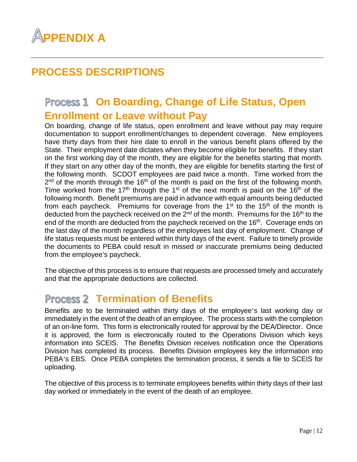

### **PROCESS DESCRIPTIONS**

### **On Boarding, Change of Life Status, Open Enrollment or Leave without Pay**

On boarding, change of life status, open enrollment and leave without pay may require documentation to support enrollment/changes to dependent coverage. New employees have thirty days from their hire date to enroll in the various benefit plans offered by the State. Their employment date dictates when they become eligible for benefits. If they start on the first working day of the month, they are eligible for the benefits starting that month. If they start on any other day of the month, they are eligible for benefits starting the first of the following month. SCDOT employees are paid twice a month. Time worked from the  $2<sup>nd</sup>$  of the month through the 16<sup>th</sup> of the month is paid on the first of the following month. Time worked from the 17<sup>th</sup> through the 1<sup>st</sup> of the next month is paid on the 16<sup>th</sup> of the following month. Benefit premiums are paid in advance with equal amounts being deducted from each paycheck. Premiums for coverage from the  $1<sup>st</sup>$  to the 15<sup>th</sup> of the month is deducted from the paycheck received on the  $2<sup>nd</sup>$  of the month. Premiums for the 16<sup>th</sup> to the end of the month are deducted from the paycheck received on the 16<sup>th</sup>. Coverage ends on the last day of the month regardless of the employees last day of employment. Change of life status requests must be entered within thirty days of the event. Failure to timely provide the documents to PEBA could result in missed or inaccurate premiums being deducted from the employee's paycheck.

The objective of this process is to ensure that requests are processed timely and accurately and that the appropriate deductions are collected.

#### **Process 2 Termination of Benefits**

Benefits are to be terminated within thirty days of the employee's last working day or immediately in the event of the death of an employee. The process starts with the completion of an on-line form. This form is electronically routed for approval by the DEA/Director. Once it is approved, the form is electronically routed to the Operations Division which keys information into SCEIS. The Benefits Division receives notification once the Operations Division has completed its process. Benefits Division employees key the information into PEBA's EBS. Once PEBA completes the termination process, it sends a file to SCEIS for uploading.

The objective of this process is to terminate employees benefits within thirty days of their last day worked or immediately in the event of the death of an employee.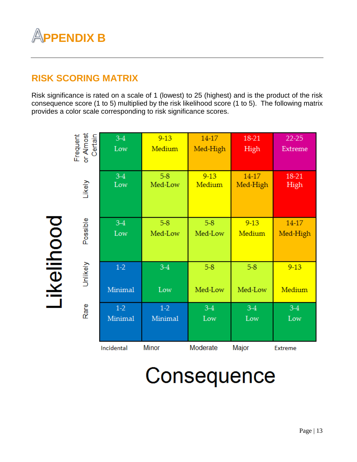

**Likelihood** 

#### **RISK SCORING MATRIX**

Risk significance is rated on a scale of 1 (lowest) to 25 (highest) and is the product of the risk consequence score (1 to 5) multiplied by the risk likelihood score (1 to 5). The following matrix provides a color scale corresponding to risk significance scores.

| Frequent<br>or Almost<br>Certain | $3-4$      | $9 - 13$ | 14-17    | 18-21    | $22 - 25$ |
|----------------------------------|------------|----------|----------|----------|-----------|
| $\overline{5}$                   | Low        | Medium   | Med-High | High     | Extreme   |
| Likely                           | $3-4$      | $5 - 8$  | $9 - 13$ | 14-17    | 18-21     |
|                                  | Low        | Med-Low  | Medium   | Med-High | High      |
| Possible                         | $3-4$      | $5 - 8$  | $5 - 8$  | $9 - 13$ | 14-17     |
|                                  | Low        | Med-Low  | Med-Low  | Medium   | Med-High  |
| <b>Unlikely</b>                  | $1-2$      | $3-4$    | $5 - 8$  | $5-8$    | $9 - 13$  |
|                                  | Minimal    | Low      | Med-Low  | Med-Low  | Medium    |
| Rare                             | $1-2$      | $1-2$    | $3-4$    | $3-4$    | $3-4$     |
|                                  | Minimal    | Minimal  | Low      | Low      | Low       |
|                                  | Incidental | Minor    | Moderate | Major    | Extreme   |

Consequence